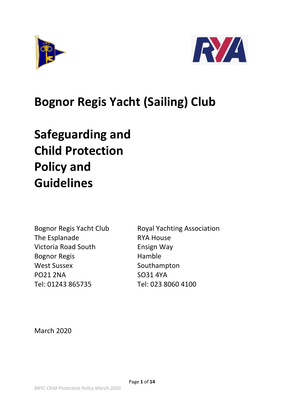



# **Bognor Regis Yacht (Sailing) Club**

# **Safeguarding and Child Protection Policy and Guidelines**

The Esplanade RYA House Victoria Road South Ensign Way Bognor Regis **Hamble** West Sussex Southampton PO21 2NA SO31 4YA Tel: 01243 865735 Tel: 023 8060 4100

Bognor Regis Yacht Club Royal Yachting Association

March 2020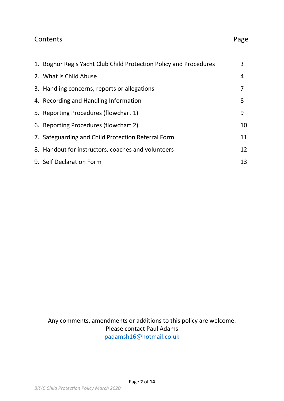## Contents **Page**

| 1. Bognor Regis Yacht Club Child Protection Policy and Procedures | 3  |
|-------------------------------------------------------------------|----|
| 2. What is Child Abuse                                            | 4  |
| 3. Handling concerns, reports or allegations                      | 7  |
| 4. Recording and Handling Information                             | 8  |
| 5. Reporting Procedures (flowchart 1)                             | 9  |
| 6. Reporting Procedures (flowchart 2)                             | 10 |
| 7. Safeguarding and Child Protection Referral Form                | 11 |
| 8. Handout for instructors, coaches and volunteers                | 12 |
| 9. Self Declaration Form                                          | 13 |

Any comments, amendments or additions to this policy are welcome. Please contact Paul Adams [padamsh16@hotmail.co.uk](mailto:padamsh16@hotmail.co.uk)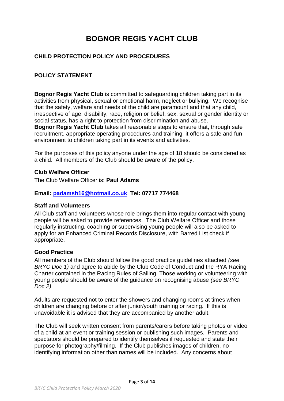## **BOGNOR REGIS YACHT CLUB**

#### **CHILD PROTECTION POLICY AND PROCEDURES**

#### **POLICY STATEMENT**

**Bognor Regis Yacht Club** is committed to safeguarding children taking part in its activities from physical, sexual or emotional harm, neglect or bullying. We recognise that the safety, welfare and needs of the child are paramount and that any child, irrespective of age, disability, race, religion or belief, sex, sexual or gender identity or social status, has a right to protection from discrimination and abuse. **Bognor Regis Yacht Club** takes all reasonable steps to ensure that, through safe recruitment, appropriate operating procedures and training, it offers a safe and fun environment to children taking part in its events and activities.

For the purposes of this policy anyone under the age of 18 should be considered as a child. All members of the Club should be aware of the policy.

#### **Club Welfare Officer**

The Club Welfare Officer is: **Paul Adams**

#### **Email: [padamsh16@hotmail.co.uk](mailto:padamsh16@hotmail.co.uk) Tel: 07717 774468**

#### **Staff and Volunteers**

All Club staff and volunteers whose role brings them into regular contact with young people will be asked to provide references. The Club Welfare Officer and those regularly instructing, coaching or supervising young people will also be asked to apply for an Enhanced Criminal Records Disclosure, with Barred List check if appropriate.

#### **Good Practice**

All members of the Club should follow the good practice guidelines attached *(see BRYC Doc 1*) and agree to abide by the Club Code of Conduct and the RYA Racing Charter contained in the Racing Rules of Sailing. Those working or volunteering with young people should be aware of the guidance on recognising abuse *(see BRYC Doc 2)*

Adults are requested not to enter the showers and changing rooms at times when children are changing before or after junior/youth training or racing. If this is unavoidable it is advised that they are accompanied by another adult.

The Club will seek written consent from parents/carers before taking photos or video of a child at an event or training session or publishing such images. Parents and spectators should be prepared to identify themselves if requested and state their purpose for photography/filming. If the Club publishes images of children, no identifying information other than names will be included. Any concerns about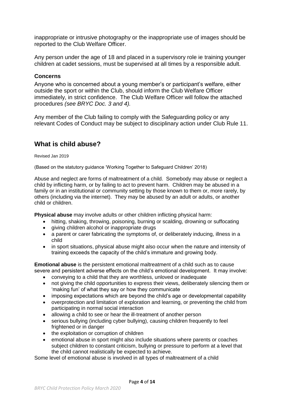inappropriate or intrusive photography or the inappropriate use of images should be reported to the Club Welfare Officer.

Any person under the age of 18 and placed in a supervisory role ie training younger children at cadet sessions, must be supervised at all times by a responsible adult.

#### **Concerns**

Anyone who is concerned about a young member's or participant's welfare, either outside the sport or within the Club, should inform the Club Welfare Officer immediately, in strict confidence. The Club Welfare Officer will follow the attached procedures *(see BRYC Doc. 3 and 4).*

Any member of the Club failing to comply with the Safeguarding policy or any relevant Codes of Conduct may be subject to disciplinary action under Club Rule 11.

### **What is child abuse?**

Revised Jan 2019

(Based on the statutory guidance 'Working Together to Safeguard Children' 2018)

Abuse and neglect are forms of maltreatment of a child. Somebody may abuse or neglect a child by inflicting harm, or by failing to act to prevent harm. Children may be abused in a family or in an institutional or community setting by those known to them or, more rarely, by others (including via the internet). They may be abused by an adult or adults, or another child or children.

**Physical abuse** may involve adults or other children inflicting physical harm:

- hitting, shaking, throwing, poisoning, burning or scalding, drowning or suffocating
- giving children alcohol or inappropriate drugs
- a parent or carer fabricating the symptoms of, or deliberately inducing, illness in a child
- in sport situations, physical abuse might also occur when the nature and intensity of training exceeds the capacity of the child's immature and growing body.

**Emotional abuse** is the persistent emotional maltreatment of a child such as to cause severe and persistent adverse effects on the child's emotional development. It may involve:

- conveying to a child that they are worthless, unloved or inadequate
- not giving the child opportunities to express their views, deliberately silencing them or 'making fun' of what they say or how they communicate
- imposing expectations which are beyond the child's age or developmental capability
- overprotection and limitation of exploration and learning, or preventing the child from participating in normal social interaction
- allowing a child to see or hear the ill-treatment of another person
- serious bullying (including cyber bullying), causing children frequently to feel frightened or in danger
- the exploitation or corruption of children
- emotional abuse in sport might also include situations where parents or coaches subject children to constant criticism, bullying or pressure to perform at a level that the child cannot realistically be expected to achieve.

Some level of emotional abuse is involved in all types of maltreatment of a child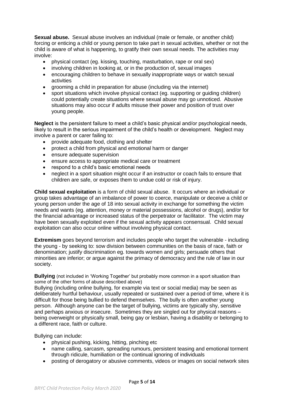**Sexual abuse.** Sexual abuse involves an individual (male or female, or another child) forcing or enticing a child or young person to take part in sexual activities, whether or not the child is aware of what is happening, to gratify their own sexual needs. The activities may involve:

- physical contact (eg. kissing, touching, masturbation, rape or oral sex)
- involving children in looking at, or in the production of, sexual images
- encouraging children to behave in sexually inappropriate ways or watch sexual activities
- grooming a child in preparation for abuse (including via the internet)
- sport situations which involve physical contact (eg. supporting or guiding children) could potentially create situations where sexual abuse may go unnoticed. Abusive situations may also occur if adults misuse their power and position of trust over young people.

**Neglect** is the persistent failure to meet a child's basic physical and/or psychological needs, likely to result in the serious impairment of the child's health or development. Neglect may involve a parent or carer failing to:

- provide adequate food, clothing and shelter
- protect a child from physical and emotional harm or danger
- ensure adequate supervision
- ensure access to appropriate medical care or treatment
- respond to a child's basic emotional needs
- neglect in a sport situation might occur if an instructor or coach fails to ensure that children are safe, or exposes them to undue cold or risk of injury.

**Child sexual exploitation** is a form of child sexual abuse. It occurs where an individual or group takes advantage of an imbalance of power to coerce, manipulate or deceive a child or young person under the age of 18 into sexual activity in exchange for something the victim needs and wants (eg. attention, money or material possessions, alcohol or drugs), and/or for the financial advantage or increased status of the perpetrator or facilitator. The victim may have been sexually exploited even if the sexual activity appears consensual. Child sexual exploitation can also occur online without involving physical contact.

**Extremism** goes beyond terrorism and includes people who target the vulnerable - including the young - by seeking to: sow division between communities on the basis of race, faith or denomination; justify discrimination eg. towards women and girls; persuade others that minorities are inferior; or argue against the primacy of democracy and the rule of law in our society.

**Bullying** (not included in 'Working Together' but probably more common in a sport situation than some of the other forms of abuse described above)

Bullying (including online bullying, for example via text or social media) may be seen as deliberately hurtful behaviour, usually repeated or sustained over a period of time, where it is difficult for those being bullied to defend themselves. The bully is often another young person. Although anyone can be the target of bullying, victims are typically shy, sensitive and perhaps anxious or insecure. Sometimes they are singled out for physical reasons – being overweight or physically small, being gay or lesbian, having a disability or belonging to a different race, faith or culture.

Bullying can include:

- physical pushing, kicking, hitting, pinching etc
- name calling, sarcasm, spreading rumours, persistent teasing and emotional torment through ridicule, humiliation or the continual ignoring of individuals
- posting of derogatory or abusive comments, videos or images on social network sites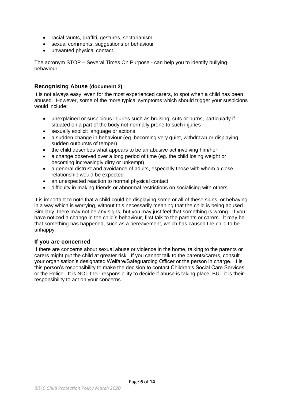- racial taunts, graffiti, gestures, sectarianism
- sexual comments, suggestions or behaviour
- unwanted physical contact.

The acronym STOP – Several Times On Purpose - can help you to identify bullying behaviour.

#### **Recognising Abuse (document 2)**

It is not always easy, even for the most experienced carers, to spot when a child has been abused. However, some of the more typical symptoms which should trigger your suspicions would include:

- unexplained or suspicious injuries such as bruising, cuts or burns, particularly if situated on a part of the body not normally prone to such injuries
- sexually explicit language or actions
- a sudden change in behaviour (eg. becoming very quiet, withdrawn or displaying sudden outbursts of temper)
- the child describes what appears to be an abusive act involving him/her
- a change observed over a long period of time (eg. the child losing weight or becoming increasingly dirty or unkempt)
- a general distrust and avoidance of adults, especially those with whom a close relationship would be expected
- an unexpected reaction to normal physical contact
- difficulty in making friends or abnormal restrictions on socialising with others.

It is important to note that a child could be displaying some or all of these signs, or behaving in a way which is worrying, without this necessarily meaning that the child is being abused. Similarly, there may not be any signs, but you may just feel that something is wrong. If you have noticed a change in the child's behaviour, first talk to the parents or carers. It may be that something has happened, such as a bereavement, which has caused the child to be unhappy.

#### **If you are concerned**

If there are concerns about sexual abuse or violence in the home, talking to the parents or carers might put the child at greater risk. If you cannot talk to the parents/carers, consult your organisation's designated Welfare/Safeguarding Officer or the person in charge. It is this person's responsibility to make the decision to contact Children's Social Care Services or the Police. It is NOT their responsibility to decide if abuse is taking place, BUT it is their responsibility to act on your concerns.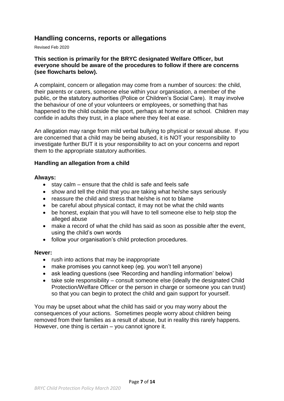### **Handling concerns, reports or allegations**

Revised Feb 2020

#### **This section is primarily for the BRYC designated Welfare Officer, but everyone should be aware of the procedures to follow if there are concerns (see flowcharts below).**

A complaint, concern or allegation may come from a number of sources: the child, their parents or carers, someone else within your organisation, a member of the public, or the statutory authorities (Police or Children's Social Care). It may involve the behaviour of one of your volunteers or employees, or something that has happened to the child outside the sport, perhaps at home or at school. Children may confide in adults they trust, in a place where they feel at ease.

An allegation may range from mild verbal bullying to physical or sexual abuse. If you are concerned that a child may be being abused, it is NOT your responsibility to investigate further BUT it is your responsibility to act on your concerns and report them to the appropriate statutory authorities.

#### **Handling an allegation from a child**

#### **Always:**

- $\bullet$  stay calm ensure that the child is safe and feels safe
- show and tell the child that you are taking what he/she says seriously
- reassure the child and stress that he/she is not to blame
- be careful about physical contact, it may not be what the child wants
- be honest, explain that you will have to tell someone else to help stop the alleged abuse
- make a record of what the child has said as soon as possible after the event, using the child's own words
- follow your organisation's child protection procedures.

#### **Never:**

- rush into actions that may be inappropriate
- make promises you cannot keep (eg. you won't tell anyone)
- ask leading questions (see 'Recording and handling information' below)
- take sole responsibility consult someone else (ideally the designated Child Protection/Welfare Officer or the person in charge or someone you can trust) so that you can begin to protect the child and gain support for yourself.

You may be upset about what the child has said or you may worry about the consequences of your actions. Sometimes people worry about children being removed from their families as a result of abuse, but in reality this rarely happens. However, one thing is certain – you cannot ignore it.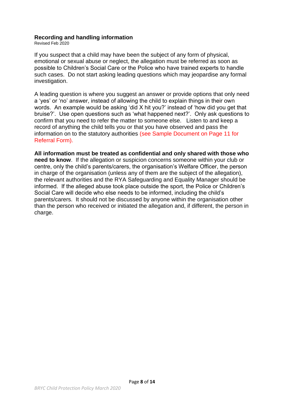#### **Recording and handling information**

Revised Feb 2020

If you suspect that a child may have been the subject of any form of physical, emotional or sexual abuse or neglect, the allegation must be referred as soon as possible to Children's Social Care or the Police who have trained experts to handle such cases. Do not start asking leading questions which may jeopardise any formal investigation.

A leading question is where you suggest an answer or provide options that only need a 'yes' or 'no' answer, instead of allowing the child to explain things in their own words. An example would be asking 'did X hit you?' instead of 'how did you get that bruise?'. Use open questions such as 'what happened next?'. Only ask questions to confirm that you need to refer the matter to someone else. Listen to and keep a record of anything the child tells you or that you have observed and pass the information on to the statutory authorities (see Sample Document on Page 11 for Referral Form).

**All information must be treated as confidential and only shared with those who need to know**. If the allegation or suspicion concerns someone within your club or centre, only the child's parents/carers, the organisation's Welfare Officer, the person in charge of the organisation (unless any of them are the subject of the allegation), the relevant authorities and the RYA Safeguarding and Equality Manager should be informed. If the alleged abuse took place outside the sport, the Police or Children's Social Care will decide who else needs to be informed, including the child's parents/carers. It should not be discussed by anyone within the organisation other than the person who received or initiated the allegation and, if different, the person in charge.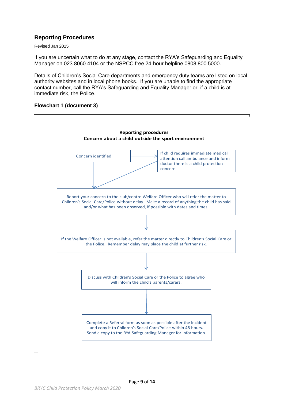#### **Reporting Procedures**

Revised Jan 2015

If you are uncertain what to do at any stage, contact the RYA's Safeguarding and Equality Manager on 023 8060 4104 or the NSPCC free 24-hour helpline 0808 800 5000.

Details of Children's Social Care departments and emergency duty teams are listed on local authority websites and in local phone books. If you are unable to find the appropriate contact number, call the RYA's Safeguarding and Equality Manager or, if a child is at immediate risk, the Police.



#### **Flowchart 1 (document 3)**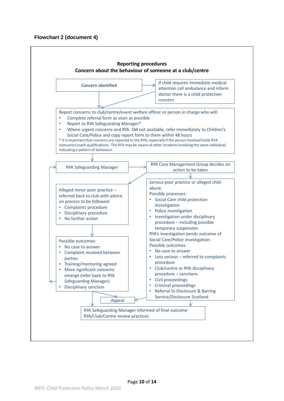#### **Flowchart 2 (document 4)**

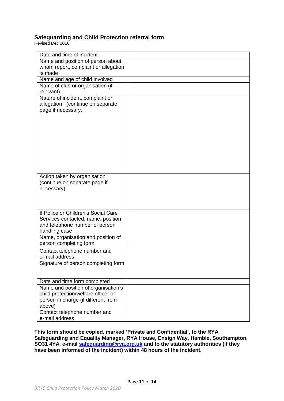#### **Safeguarding and Child Protection referral form**

Revised Dec 2016

| Date and time of incident                                     |  |  |  |
|---------------------------------------------------------------|--|--|--|
| Name and position of person about                             |  |  |  |
| whom report, complaint or allegation                          |  |  |  |
| is made                                                       |  |  |  |
| Name and age of child involved                                |  |  |  |
| Name of club or organisation (if                              |  |  |  |
| relevant)                                                     |  |  |  |
| Nature of incident, complaint or                              |  |  |  |
| allegation (continue on separate                              |  |  |  |
| page if necessary.                                            |  |  |  |
|                                                               |  |  |  |
|                                                               |  |  |  |
|                                                               |  |  |  |
|                                                               |  |  |  |
|                                                               |  |  |  |
|                                                               |  |  |  |
|                                                               |  |  |  |
|                                                               |  |  |  |
|                                                               |  |  |  |
|                                                               |  |  |  |
| Action taken by organisation<br>(continue on separate page if |  |  |  |
| necessary)                                                    |  |  |  |
|                                                               |  |  |  |
|                                                               |  |  |  |
|                                                               |  |  |  |
| If Police or Children's Social Care                           |  |  |  |
| Services contacted, name, position                            |  |  |  |
| and telephone number of person                                |  |  |  |
| handling case                                                 |  |  |  |
| Name, organisation and position of                            |  |  |  |
| person completing form                                        |  |  |  |
| Contact telephone number and                                  |  |  |  |
| e-mail address                                                |  |  |  |
| Signature of person completing form                           |  |  |  |
|                                                               |  |  |  |
|                                                               |  |  |  |
| Date and time form completed                                  |  |  |  |
| Name and position of organisation's                           |  |  |  |
| child protection/welfare officer or                           |  |  |  |
| person in charge (if different from                           |  |  |  |
| above)                                                        |  |  |  |
| Contact telephone number and                                  |  |  |  |
|                                                               |  |  |  |
| e-mail address                                                |  |  |  |

**This form should be copied, marked 'Private and Confidential', to the RYA Safeguarding and Equality Manager, RYA House, Ensign Way, Hamble, Southampton, SO31 4YA, e-mail [safeguarding@rya.org.uk](mailto:safeguarding@rya.org.uk) and to the statutory authorities (if they have been informed of the incident) within 48 hours of the incident.**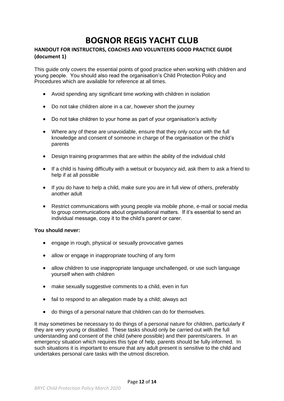# **BOGNOR REGIS YACHT CLUB**

#### **HANDOUT FOR INSTRUCTORS, COACHES AND VOLUNTEERS GOOD PRACTICE GUIDE (document 1)**

This guide only covers the essential points of good practice when working with children and young people. You should also read the organisation's Child Protection Policy and Procedures which are available for reference at all times.

- Avoid spending any significant time working with children in isolation
- Do not take children alone in a car, however short the journey
- Do not take children to your home as part of your organisation's activity
- Where any of these are unavoidable, ensure that they only occur with the full knowledge and consent of someone in charge of the organisation or the child's parents
- Design training programmes that are within the ability of the individual child
- If a child is having difficulty with a wetsuit or buoyancy aid, ask them to ask a friend to help if at all possible
- If you do have to help a child, make sure you are in full view of others, preferably another adult
- Restrict communications with young people via mobile phone, e-mail or social media to group communications about organisational matters. If it's essential to send an individual message, copy it to the child's parent or carer.

#### **You should never:**

- engage in rough, physical or sexually provocative games
- allow or engage in inappropriate touching of any form
- allow children to use inappropriate language unchallenged, or use such language yourself when with children
- make sexually suggestive comments to a child, even in fun
- fail to respond to an allegation made by a child; always act
- do things of a personal nature that children can do for themselves.

It may sometimes be necessary to do things of a personal nature for children, particularly if they are very young or disabled. These tasks should only be carried out with the full understanding and consent of the child (where possible) and their parents/carers. In an emergency situation which requires this type of help, parents should be fully informed. In such situations it is important to ensure that any adult present is sensitive to the child and undertakes personal care tasks with the utmost discretion.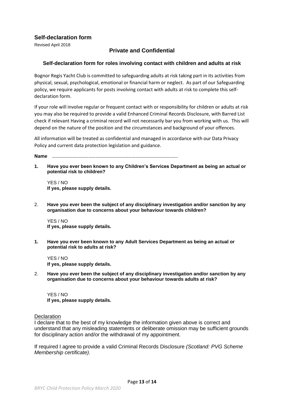#### **Self-declaration form**

Revised April 2018

#### **Private and Confidential**

#### **Self-declaration form for roles involving contact with children and adults at risk**

Bognor Regis Yacht Club is committed to safeguarding adults at risk taking part in its activities from physical, sexual, psychological, emotional or financial harm or neglect. As part of our Safeguarding policy, we require applicants for posts involving contact with adults at risk to complete this selfdeclaration form.

If your role will involve regular or frequent contact with or responsibility for children or adults at risk you may also be required to provide a valid Enhanced Criminal Records Disclosure, with Barred List check if relevant Having a criminal record will not necessarily bar you from working with us. This will depend on the nature of the position and the circumstances and background of your offences.

All information will be treated as confidential and managed in accordance with our Data Privacy Policy and current data protection legislation and guidance.

**Name** …………………………………………………………………………………………..

**1. Have you ever been known to any Children's Services Department as being an actual or potential risk to children?**

YES / NO **If yes, please supply details.**

2. **Have you ever been the subject of any disciplinary investigation and/or sanction by any organisation due to concerns about your behaviour towards children?**

YES / NO **If yes, please supply details.**

**1. Have you ever been known to any Adult Services Department as being an actual or potential risk to adults at risk?**

YES / NO **If yes, please supply details.**

2. **Have you ever been the subject of any disciplinary investigation and/or sanction by any organisation due to concerns about your behaviour towards adults at risk?**

YES / NO **If yes, please supply details.**

**Declaration** 

I declare that to the best of my knowledge the information given above is correct and understand that any misleading statements or deliberate omission may be sufficient grounds for disciplinary action and/or the withdrawal of my appointment.

If required I agree to provide a valid Criminal Records Disclosure *(Scotland: PVG Scheme Membership certificate)*.